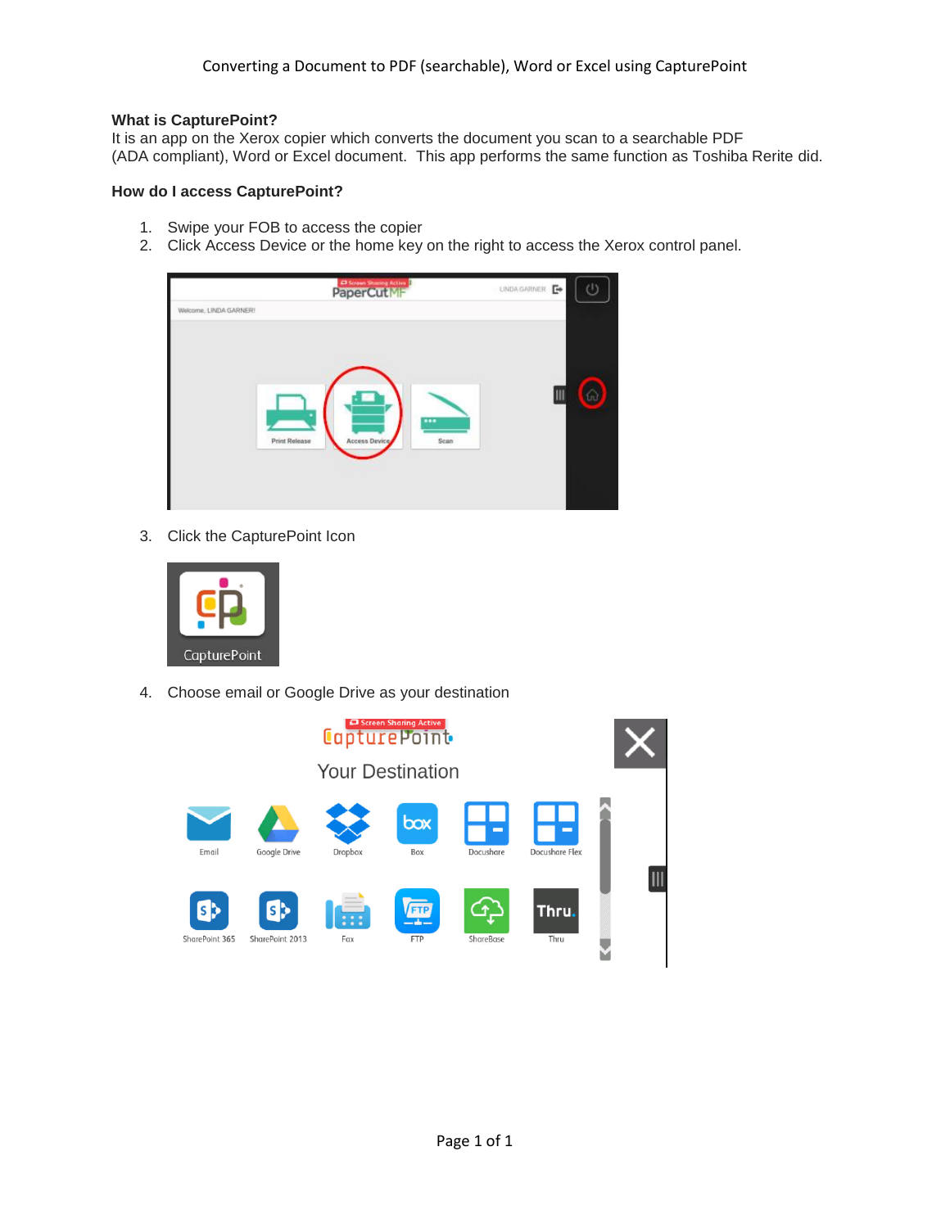## **What is CapturePoint?**

It is an app on the Xerox copier which converts the document you scan to a searchable PDF (ADA compliant), Word or Excel document. This app performs the same function as Toshiba Rerite did.

# **How do I access CapturePoint?**

- 1. Swipe your FOB to access the copier
- 2. Click Access Device or the home key on the right to access the Xerox control panel.



3. Click the CapturePoint Icon



4. Choose email or Google Drive as your destination